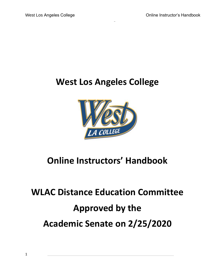# **West Los Angeles College**



# **Online Instructors' Handbook**

# **WLAC Distance Education Committee Approved by the Academic Senate on 2/25/2020**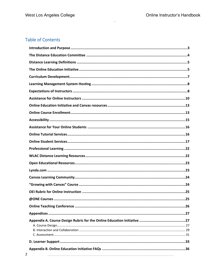# **Table of Contents**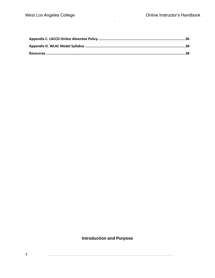# <span id="page-2-0"></span>**Introduction and Purpose**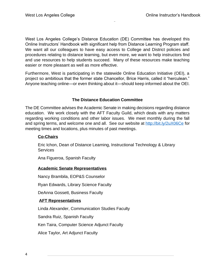West Los Angeles College's Distance Education (DE) Committee has developed this Online Instructors' Handbook with significant help from Distance Learning Program staff. We want all our colleagues to have easy access to College and District policies and procedures relating to distance learning, but even more, we want to help instructors find and use resources to help students succeed. Many of these resources make teaching easier or more pleasant as well as more effective.

Furthermore, West is participating in the statewide Online Education Initiative (OEI), a project so ambitious that the former state Chancellor, Brice Harris, called it "herculean." Anyone teaching online—or even thinking about it—should keep informed about the OEI.

# **The Distance Education Committee**

<span id="page-3-0"></span>The DE Committee advises the Academic Senate in making decisions regarding distance education. We work closely with the AFT Faculty Guild, which deals with any matters regarding working conditions and other labor issues. We meet monthly during the fall and spring terms, and welcome one and all. See our website at <http://bit.ly/2uX06Ce> for meeting times and locations, plus minutes of past meetings.

# **Co-Chairs**

Eric Ichon, Dean of Distance Learning, Instructional Technology & Library **Services** 

Ana Figueroa, Spanish Faculty

#### **Academic Senate Representatives**

Nancy Brambila, EOP&S Counselor

Ryan Edwards, Library Science Faculty

DeAnna Gossett, Business Faculty

# **AFT Representatives**

Linda Alexander, Communication Studies Faculty

Sandra Ruiz, Spanish Faculty

Ken Taira, Computer Science Adjunct Faculty

Alice Taylor, Art Adjunct Faculty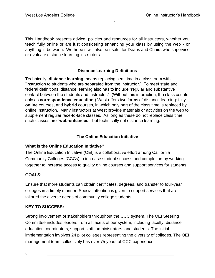This Handbook presents advice, policies and resources for all instructors, whether you teach fully online or are just considering enhancing your class by using the web - or anything in between. We hope it will also be useful for Deans and Chairs who supervise or evaluate distance learning instructors.

# **Distance Learning Definitions**

<span id="page-4-0"></span>Technically, **distance learning** means replacing seat time in a classroom with "instruction to students who are separated from the instructor." To meet state and federal definitions, distance learning also has to include "regular and substantive contact between the students and instructor." (Without this interaction, the class counts only as **correspondence education**.) West offers two forms of distance learning: fully **online** courses, and **hybrid** courses, in which only part of the class time is replaced by online instruction. Many instructors at West provide materials or activities on the web to supplement regular face-to-face classes. As long as these do not replace class time, such classes are "**web-enhanced**," but technically not distance learning.

# **The Online Education Initiative**

# <span id="page-4-1"></span>**What is the Online Education Initiative?**

The Online Education Initiative (OEI) is a collaborative effort among California Community Colleges (CCCs) to increase student success and completion by working together to increase access to quality online courses and support services for students.

# **GOALS:**

Ensure that more students can obtain certificates, degrees, and transfer to four-year colleges in a timely manner. Special attention is given to support services that are tailored the diverse needs of community college students.

# **KEY TO SUCCESS:**

Strong involvement of stakeholders throughout the CCC system. The OEI Steering Committee includes leaders from all facets of our system, including faculty, distance education coordinators, support staff, administrators, and students. The initial implementation involves 24 pilot colleges representing the diversity of colleges. The OEI management team collectively has over 75 years of CCC experience.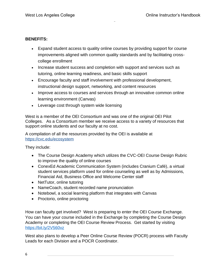# **BENEFITS:**

- Expand student access to quality online courses by providing support for course improvements aligned with common quality standards and by facilitating crosscollege enrollment
- Increase student success and completion with support and services such as tutoring, online learning readiness, and basic skills support
- Encourage faculty and staff involvement with professional development, instructional design support, networking, and content resources
- Improve access to courses and services through an innovative common online learning environment (Canvas)
- Leverage cost through system wide licensing

West is a member of the OEI Consortium and was one of the original OEI Pilot Colleges. As a Consortium member we receive access to a variety of resources that support online students and our faculty at no cost.

A compilation of all the resources provided by the OEI is available at <https://cvc.edu/ecosystem>

They include:

- The Course Design Academy which utilizes the CVC-OEI Course Design Rubric to improve the quality of online courses
- ConexEd Academic Communication System (includes Cranium Café), a virtual student services platform used for online counseling as well as by Admissions, Financial Aid, Business Office and Welcome Center staff
- NetTutor, online tutoring
- NameCoach, student recorded name pronunciation
- Notebowl, a social learning platform that integrates with Canvas
- Proctorio, online proctoring

How can faculty get involved? West is preparing to enter the OEI Course Exchange. You can have your course included in the Exchange by completing the Course Design Academy or completing the OEI Course Review Process. Get started by visiting <https://bit.ly/2V560vz>

West also plans to develop a Peer Online Course Review (POCR) process with Faculty Leads for each Division and a POCR Coordinator.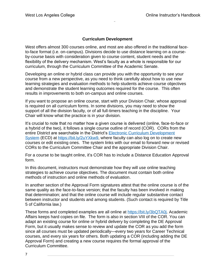## **Curriculum Development**

<span id="page-6-0"></span>West offers almost 300 courses online, and most are also offered in the traditional faceto-face format (i.e. on-campus). Divisions decide to use distance learning on a courseby-course basis with consideration given to course content, student needs and the flexibility of the delivery mechanism. West's faculty as a whole is responsible for our curriculum, through the Curriculum Committee of the Academic Senate.

Developing an online or hybrid class can provide you with the opportunity to see your course from a new perspective, as you need to think carefully about how to use new learning strategies and evaluation methods to help students achieve course objectives and demonstrate the student learning outcomes required for the course. This often results in improvements to both on-campus and online courses.

If you want to propose an online course, start with your Division Chair, whose approval is required on all curriculum forms. In some divisions, you may need to show the support of all the division faculty, or of all full-timers teaching in the discipline. Your Chair will know what the practice is in your division.

It's crucial to note that no matter how a given course is delivered (online, face-to-face or a hybrid of the two), it follows a single course outline of record (COR). CORs from the entire District are searchable in the District's [Electronic Curriculum Development](http://ecd.laccd.edu/Default.aspx)  [System](http://ecd.laccd.edu/Default.aspx) (ECD) at [https://bit.ly/2uYXkw9,](https://bit.ly/2uYXkw9) where faculty can also log on to create new courses or edit existing ones. The system links with our email to forward new or revised CORs to the Curriculum Committee Chair and the appropriate Division Chair.

For a course to be taught online, it's COR has to include a Distance Education Approval form.

In this document, instructors must demonstrate how they will use online teaching strategies to achieve course objectives. The document must contain both online methods of instruction and online methods of evaluation.

In another section of the Approval Form signatures attest that the online course is of the same quality as the face-to-face version; that the faculty has been involved in making that determination; and that the online course will include regular substantive contact between instructor and students and among students. (Such contact is required by Title 5 of California law.)

These forms and completed examples are all online at [https://bit.ly/3bQTA0j.](https://bit.ly/3bQTA0j) Academic Affairs keeps hard copies on file. The form is also in section VIII of the COR. You can adapt an existing course for online or hybrid delivery by completing the DE Approval Form, but it usually makes sense to review and update the COR as you add the form since all courses must be updated periodically—every two years for Career Technical courses, and every six years for others. Both updating a COR (including adding the DE Approval Form) and creating a new course requires the formal approval of the Curriculum Committee.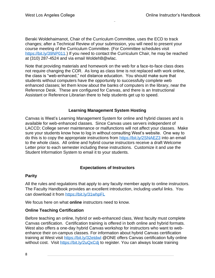Beraki Woldehaimanot, Chair of the Curriculum Committee, uses the ECD to track changes; after a Technical Review of your submission, you will need to present your course meeting of the Curriculum Committee. (For Committee schedules visit [https://bit.ly/39NP011.](https://bit.ly/39NP011)) If you need to contact the Curriculum Chair, he may be reached at (310) 287-4524 and via email WoldehB@wlac.

Note that providing materials and homework on the web for a face-to-face class does not require changing the COR. As long as class time is not replaced with work online, the class is "web-enhanced," not distance education. You should make sure that students without computers have the opportunity to successfully complete web enhanced classes; let them know about the banks of computers in the library, near the Reference Desk. These are configured for Canvas, and there is an Instructional Assistant or Reference Librarian there to help students get up to speed.

## **Learning Management System Hosting**

<span id="page-7-0"></span>Canvas is West's Learning Management System for online and hybrid classes and is available for web-enhanced classes. Since Canvas uses servers independent of LACCD; College server maintenance or malfunctions will not affect your classes. Make sure your students know how to log in without consulting West's website. One way to do this is to copy the appropriate instructions from<https://bit.ly/2SNAEZ3> into an email to the whole class. All online and hybrid course instructors receive a draft Welcome Letter prior to each semester including these instructions. Customize it and use the Student Information System to email it to your students.

# **Expectations of Instructors**

# <span id="page-7-1"></span>**Parity**

All the rules and regulations that apply to any faculty member apply to online instructors. The Faculty Handbook provides an excellent introduction, including useful links. You can download it from <https://bit.ly/31whpFL>

We focus here on what **online** instructors need to know.

# **Online Teaching Certification**

Before teaching an online, hybrid or web-enhanced class, West faculty must complete Canvas certification. Certification training is offered in both online and hybrid formats. West also offers a one-day hybrid Canvas workshop for instructors who want to webenhance their on-campus classes. For information about hybrid Canvas certification training at West visit https://bit.ly/32etdwl @ONE offers Canvas certification fully online without cost. Visit https://bit.ly/2uQxCdi to register. You can always locate training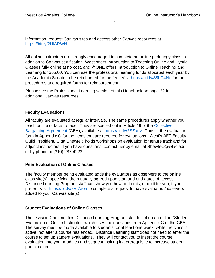information, request Canvas sites and access other Canvas resources at [https://bit.ly/2HIARWN.](https://bit.ly/2HIARWN)

All online instructors are strongly encouraged to complete an online pedagogy class in addition to Canvas certification. West offers Introduction to Teaching Online and Hybrid Classes fully online at no cost, and @ONE offers Introduction to Online Teaching and Learning for \$65.00. You can use the professional learning funds allocated each year by the Academic Senate to be reimbursed for the fee. Visit<https://bit.ly/38LD4Ne> for the procedures and required forms for reimbursement.

Please see the Professional Learning section of this Handbook on page 22 for additional Canvas resources.

# **Faculty Evaluations**

All faculty are evaluated at regular intervals. The same procedures apply whether you teach online or face-to-face. They are spelled out in Article 19 of the [Collective](http://www.laccd.edu/Departments/HumanResources/Documents/2017-2020%20Faculty%201521%20Contract.pdf)  [Bargaining Agreement](http://www.laccd.edu/Departments/HumanResources/Documents/2017-2020%20Faculty%201521%20Contract.pdf) (CBA), available at [https://bit.ly/2SZurrz.](https://bit.ly/2SZurrz) Consult the evaluation form in Appendix C for the items that are required for evaluations. West's AFT Faculty Guild President, Olga Shewfelt, holds workshops on evaluation for tenure track and for adjunct instructors; if you have questions, contact her by email at ShewfeO@wlac.edu or by phone at (310) 287-4223.

# **Peer Evaluation of Online Classes**

The faculty member being evaluated adds the evaluators as observers to the online class site(s), specifying the mutually agreed upon start and end dates of access. Distance Learning Program staff can show you how to do this, or do it for you, if you prefer. Visit<https://bit.ly/2Vf7aoa> to complete a request to have evaluators/observers added to your Canvas site(s).

# **Student Evaluations of Online Classes**

The Division Chair notifies Distance Learning Program staff to set up an online "Student Evaluation of Online Instructor" which uses the questions from Appendix C of the CBA. The survey must be made available to students for at least one week, while the class is active, not after a course has ended. Distance Learning staff does not need to enter the course to set up student evaluations. They will contact you to insert the course evaluation into your modules and suggest making it a prerequisite to increase student participation.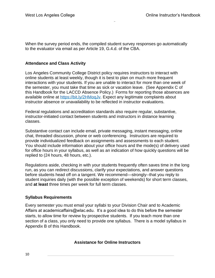When the survey period ends, the compiled student survey responses go automatically to the evaluator via email as per Article 19, G.4.d. of the CBA.

# **Attendance and Class Activity**

Los Angeles Community College District policy requires instructors to interact with online students at least weekly, though it is best to plan on much more frequent interactions with your students. If you are unable to interact for more than one week of the semester, you must take that time as sick or vacation leave. (See Appendix C of this Handbook for the LACCD Absence Policy.) Forms for reporting those absences are available online at https://bit.ly/2HMogJy. Expect any legitimate complaints about instructor absence or unavailability to be reflected in instructor evaluations.

Federal regulations and accreditation standards also require regular, substantive, instructor-initiated contact between students and instructors in distance learning classes.

Substantive contact can include email, private messaging, instant messaging, online chat, threaded discussion, phone or web conferencing. Instructors are required to provide individualized feedback on assignments and assessments to each student. You should include information about your office hours and the mode(s) of delivery used for office hours in your syllabus, as well as an indication of how quickly questions will be replied to (24 hours, 48 hours, etc.).

Regulations aside, checking in with your students frequently often saves time in the long run, as you can redirect discussions, clarify your expectations, and answer questions before students head off on a tangent. We recommend—strongly--that you reply to student inquiries daily (with the possible exception of weekends) for short term classes, and **at least** three times per week for full term classes.

#### **Syllabus Requirements**

<span id="page-9-0"></span>Every semester you must email your syllabi to your Division Chair and to Academic Affairs at academicaffairs@wlac.edu. It's a good idea to do this before the semester starts, to allow time for review by prospective students. If you teach more than one section of a class, you only need to provide one syllabus. There is a model syllabus in Appendix B of this Handbook.

#### **Assistance for Online Instructors**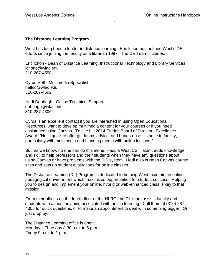# **The Distance Learning Program**

West has long been a leader in distance learning. Eric Ichon has helmed West's DE efforts since joining the faculty as a librarian 1997. The DE Team includes:

Eric Ichon - Dean of Distance Learning, Instructional Technology and Library Services ichone@wlac.edu 310-287-4558

Cyrus Helf - Multimedia Specialist helfco@wlac.edu 310-287-4592

Hadi Dabbagh - Online Technical Support dabbagh@wlac.edu 310-287-4306

Cyrus is an excellent contact if you are interested in using Open Educational Resources, want to develop multimedia content for your courses or if you need assistance using Canvas. To cite his 2014 Etudes Board of Directors Excellence Award: "He is quick to offer guidance, advice, and hands-on assistance to faculty, particularly with multimedia and blending media with online lessons."

But, as we know, no one can do this alone. Hadi, a West CSIT alum, adds knowledge and skill to help professors and their students when they have any questions about using Canvas or have problems with the SIS system. Hadi also creates Canvas course sites and sets up student evaluations for online classes.

The Distance Learning (DL) Program is dedicated to helping West maintain an online pedagogical environment which maximizes opportunities for student success. Helping you to design and implement your online, hybrid or web-enhanced class is key to that mission.

From their offices on the fourth floor of the HLRC, the DL team assists faculty and students with almost anything associated with online learning. Call them at (310) 287- 4305 for quick questions, or to make an appointment to deal with something bigger. Or just drop by.

The Distance Learning office is open: Monday—Thursday 8:30 a.m. to 6 p.m. Friday 9 a.m. to 1 p.m.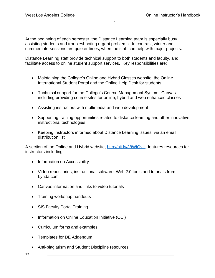At the beginning of each semester, the Distance Learning team is especially busy assisting students and troubleshooting urgent problems. In contrast, winter and summer intersessions are quieter times, when the staff can help with major projects.

Distance Learning staff provide technical support to both students and faculty, and facilitate access to online student support services. Key responsibilities are:

- Maintaining the College's Online and Hybrid Classes website, the Online International Student Portal and the Online Help Desk for students
- Technical support for the College's Course Management System--Canvas- including providing course sites for online, hybrid and web enhanced classes
- Assisting instructors with multimedia and web development
- Supporting training opportunities related to distance learning and other innovative instructional technologies
- Keeping instructors informed about Distance Learning issues, via an email distribution list

A section of the Online and Hybrid website, [http://bit.ly/38WIQvH,](http://bit.ly/38WIQvH) features resources for instructors including:

- Information on Accessibility
- Video repositories, instructional software, Web 2.0 tools and tutorials from Lynda.com
- Canvas information and links to video tutorials
- Training workshop handouts
- SIS Faculty Portal Training
- Information on Online Education Initiative (OEI)
- Curriculum forms and examples
- Templates for DE Addendum
- Anti-plagiarism and Student Discipline resources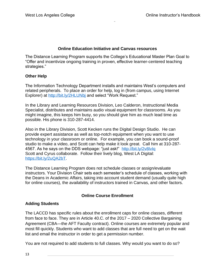# **Online Education Initiative and Canvas resources**

<span id="page-12-0"></span>The Distance Learning Program supports the College's Educational Master Plan Goal to "Offer and incentivize ongoing training in proven, effective learner-centered teaching strategies."

## **Other Help**

The Information Technology Department installs and maintains West's computers and related peripherals. To place an order for help, log in (from campus, using Internet Explorer) at http://bit.ly/2HLUNbi and select "Work Request."

In the Library and Learning Resources Division, Leo Calderon, Instructional Media Specialist, distributes and maintains audio visual equipment for classrooms. As you might imagine, this keeps him busy, so you should give him as much lead time as possible. His phone is 310-287-4414.

Also in the Library Division, Scott Kecken runs the Digital Design Studio. He can provide expert assistance as well as top-notch equipment when you want to use technology in your classroom or online. For example, you can book a sound-proof studio to make a video, and Scott can help make it look great. Call him at 310-287- 4567. As he says on the DDS webpage: "just ask!" http://bit.ly/2v8lvlq Scott and Cyrus collaborate. Follow their lively blog, West LA Digital: [https://bit.ly/2uQA2bT.](https://bit.ly/2uQA2bT)

The Distance Learning Program does not schedule classes or assign/evaluate instructors. Your Division Chair sets each semester's schedule of classes, working with the Deans in Academic Affairs, taking into account student demand (usually quite high for online courses), the availability of instructors trained in Canvas, and other factors.

# **Online Course Enrollment**

# <span id="page-12-1"></span>**Adding Students**

The LACCD has specific rules about the enrollment caps for online classes, different from face to face. They are in Article 40.C. of the 2017 – 2020 Collective Bargaining Agreement (CBA—the AFT Faculty contract). Online courses are extremely popular and most fill quickly. Students who want to add classes that are full need to get on the wait list and email the instructor in order to get a permission number.

You are not required to add students to full classes. Why would you want to do so?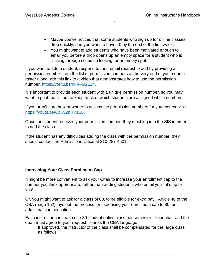- Maybe you've noticed that some students who sign up for online classes drop quickly, and you want to have 40 by the end of the first week.
- You might want to add students who have been motivated enough to email you before a drop opens up an empty space for a student who is clicking through schedule looking for an empty spot.

If you want to add a student, respond to their email request to add by providing a permission number from the list of permission numbers at the very end of your course roster along with this link to a video that demonstrates how to use the permission number, [https://youtu.be/nFlF-6I2L24.](https://youtu.be/nFlF-6I2L24)

It is important to provide each student with a unique permission number, so you may want to print the list out to keep track of which students are assigned which numbers.

If you aren't sure how or where to access the permission numbers for your course visit [https://youtu.be/CplW2nHY1E0.](https://youtu.be/CplW2nHY1E0)

Once the student receives your permission number, they must log into the SIS in order to add the class.

If the student has any difficulties adding the class with the permission number, they should contact the Admissions Office at 310-287-4501.

# **Increasing Your Class Enrollment Cap**

It might be more convenient to ask your Chair to increase your enrollment cap to the number you think appropriate, rather than adding students who email you—it's up to you!

Or, you might want to ask for a class of 80, to be eligible for extra pay. Article 40 of the CBA (page 152) lays out the process for increasing your enrollment cap to 80 for additional compensation.

Each instructor can teach one 80-student online class per semester. Your chair and the dean must agree to your request. Here's the CBA language

If approved, the instructor of the class shall be compensated for the large class as follows: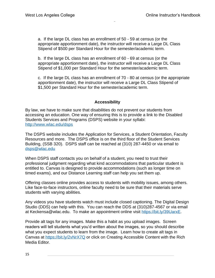a. If the large DL class has an enrollment of 50 - 59 at census (or the appropriate apportionment date), the instructor will receive a Large DL Class Stipend of \$500 per Standard Hour for the semester/academic term.

b. If the large DL class has an enrollment of 60 - 69 at census (or the appropriate apportionment date), the instructor will receive a Large DL Class Stipend of \$1,000 per Standard Hour for the semester/academic term.

c. If the large DL class has an enrollment of 70 - 80 at census (or the appropriate apportionment date), the instructor will receive a Large DL Class Stipend of \$1,500 per Standard Hour for the semester/academic term.

## **Accessibility**

<span id="page-14-0"></span>By law, we have to make sure that disabilities do not prevent our students from accessing an education. One way of ensuring this is to provide a link to the Disabled Students Services and Programs (DSPS) website in your syllabi: <http://www.wlac.edu/dsps>

The DSPS website includes the Application for Services, a Student Orientation, Faculty Resources and more. The DSPS office is on the third floor of the Student Services Building, (SSB 320). DSPS staff can be reached at (310) 287-4450 or via email to [dsps@wlac.edu](mailto:dsps@wlac.edu)

When DSPS staff contacts you on behalf of a student, you need to trust their professional judgment regarding what kind accommodations that particular student is entitled to. Canvas is designed to provide accommodations (such as longer time on timed exams), and our Distance Learning staff can help you set them up.

Offering classes online provides access to students with mobility issues, among others. Like face-to-face instructors, online faculty need to be sure that their materials serve students with varying abilities.

Any videos you have students watch must include closed captioning. The [Digital Design](http://www.wlac.edu/Digital-Design-Studio/index.aspx)  [Studio](http://www.wlac.edu/Digital-Design-Studio/index.aspx) (DDS) can help with this. You can reach the DDS at (310)287-4567 or via email at [Keckensa@wlac.edu.](mailto:Keckensa@wlac.edu) To make an appointment online visit [https://bit.ly/39UarxE.](https://bit.ly/39UarxE)

Provide alt tags for any images. Make this a habit as you upload images. Screen readers will tell students what you'd written about the images, so you should describe what you expect students to learn from the image. Learn how to create alt tags in Canvas at <https://bit.ly/2vNrX7Q> or click on [Creating Accessible Content with the Rich](https://ccconlineed.instructure.com/courses/297/pages/creating-accessible-content-with-the-rich-media-editor?module_item_id=26501)  [Media Editor.](https://ccconlineed.instructure.com/courses/297/pages/creating-accessible-content-with-the-rich-media-editor?module_item_id=26501)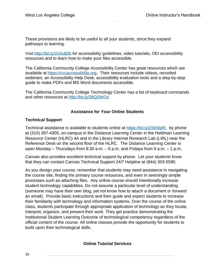These provisions are likely to be useful to all your students, since they expand pathways to learning.

Visit<http://bit.ly/2vSvB0k> for accessibility guidelines, video tutorials, OEI accessibility resources and to learn how to make your files accessible.

The [California Community College Accessibility Center](https://cccaccessibility.org/) has great resources which are available at [https://cccaccessibility.org.](https://cccaccessibility.org/) Their resources include videos, recorded webinars, an Accessibility Help Desk, accessibility evaluation tools and a step-by-step guide to make PDFs and MS Word documents accessible.

The [California Community College Technology Center](https://ccctechcenter.org/about/accessibility) has a list of keyboard commands and other resources at<http://bit.ly/39QSWOz>

## **Assistance for Your Online Students**

## <span id="page-15-0"></span>**Technical Support**

Technical assistance is available to students online at [https://bit.ly/2SK9qlR,](https://bit.ly/2SK9qlR) by phone at (310) 287-4305, on-campus in the Distance Learning Center in the Heldman Learning Resource Center (HLRC) 4A and in the Library Internet Research Lab (LIRL) near the Reference Desk on the second floor of the HLRC. The Distance Learning Center is open Monday – Thursdays from 8:30 a.m. – 6 p.m. and Fridays from 9 a.m. – 1 p.m.

Canvas also provides excellent technical support by phone. Let your students know that they can contact Canvas Technical Support 24/7 Helpline at (844) 303-5590.

As you design your course, remember that students may need assistance in navigating the course site, finding the primary course resources, and even in seemingly simple processes such as attaching files. Any online course should intentionally increase student technology capabilities. Do not assume a particular level of understanding (someone may have their own blog, yet not know how to attach a document or forward an email). Provide basic instructions and then guide and expect students to increase their familiarity with technology and information systems. Over the course of the online class, students participate through appropriate application of technology as they locate, interpret, organize, and present their work. They get practice demonstrating the Institutional Student Learning Outcome of technological competency regardless of the official content of the course. All online classes provide the opportunity for students to build upon their technological skills.

#### <span id="page-15-1"></span>**Online Tutorial Services**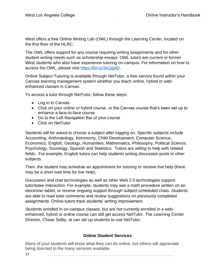West offers a free Online Writing Lab (OWL) through the Learning Center, located on the first floor of the HLRC.

The OWL offers support for any course requiring writing assignments and for other student writing needs such as scholarship essays. OWL tutors are current or former West students who also have experience tutoring on-campus. For information on how to access the OWL, please visit [https://bit.ly/3bQjgdD.](https://bit.ly/3bQjgdD)

Online Subject Tutoring is available through NetTutor, a free service found within your Canvas learning management system whether you teach online, hybrid or webenhanced classes in Canvas.

To access a tutor through NetTutor, follow these steps:

- Log in to Canvas
- Click on your online or hybrid course, or the Canvas course that's been set up to enhance a face-to-face course
- Go to the Left Navigation Bar of your course
- Click on NetTutor

Students will be asked to choose a subject after logging on. Specific subjects include Accounting, Anthropology, Astronomy, Child Development, Computer Science, Economics, English, Geology, Humanities, Mathematics, Philosophy, Political Science, Psychology, Sociology, Spanish and Statistics. Tutors are willing to help with related fields. For example, English tutors can help students writing discussion posts in other subjects.

Then, the student may schedule an appointment for tutoring or receive live help (there may be a short wait time for live help).

Discussion and chat technologies as well as other Web 2.0 technologies support tutor/tutee interaction. For example, students may see a math procedure written on an electronic tablet, or receive ongoing support through subject-scheduled chats. Students are able to read tutor comments and review suggestions on previously completed assignments. Online tutors track students' writing improvement.

Students enrolled in on-campus classes, but are not currently enrolled in a webenhanced, hybrid or online course can still get access NetTutor. The Learning Center Director, Chase Selby, at can set up students to use NetTutor.

# **Online Student Services**

<span id="page-16-0"></span>Many of your students will know what they can do online, but others will appreciate being directed to the many services available.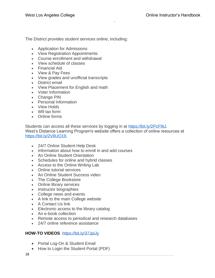The District provides student services online, including:

- Application for Admissions
- View Registration Appointments
- Course enrollment and withdrawal
- View schedule of classes
- Financial Aid
- View & Pay Fees
- View grades and unofficial transcripts
- District email
- View Placement for English and math
- Voter Information
- Change PIN
- Personal Information
- View Holds
- W9 tax form
- Online forms

Students can access all these services by logging in at [https://bit.ly/2PcF9tJ.](https://bit.ly/2PcF9tJ) West's Distance Learning Program's website offers a collection of online resources at [https://bit.ly/2V8UO19.](https://bit.ly/2V8UO19)

- 24/7 Online Student Help Desk
- Information about how to enroll in and add courses
- An Online Student Orientation
- Schedules for online and hybrid classes
- Access to the Online Writing Lab
- Online tutorial services
- An Online Student Success video
- The College Bookstore
- Online library services
- Instructor biographies
- College news and events
- A link to the main College website
- A Contact Us link
- Electronic access to the library catalog
- An e-book collection
- Remote access to periodical and research databases
- 24/7 online reference assistance

# **HOW-TO VIDEOS** <https://bit.ly/37JpiJy>

- Portal Log-On & Student Email
- How to Login the Student Portal (PDF)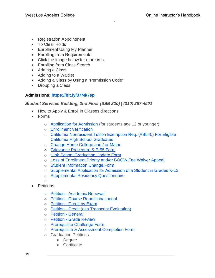- Registration Appointment
- To Clear Holds
- Enrollment Using My Planner
- Enrolling from Requirements
- Click the image below for more info.
- Enrolling from Class Search
- Adding a Class
- Adding to a Waitlist
- Adding a Class by Using a "Permission Code"
- Dropping a Class

# **[Admissions:](http://www.wlac.edu/admissions/index.aspx)<https://bit.ly/37Mk7sp>**

## *Student Services Building, 2nd Floor (SSB 220) | (310) 287-4501*

- How to Apply & Enroll in Classes directions
- Forms
	- o [Application for Admission](http://www.wlac.edu/WLAC/media/documents/admissions/Forms/AdmissionApplication.pdf) (for students age 12 or younger)
	- o [Enrollment Verification](http://www.wlac.edu/WLAC/media/documents/admissions/Forms/ENROLLMENT-VERIFICATION.pdf)
	- o [California Nonresident Tuition Exemption Req. \(AB540\) For Eligible](http://www.wlac.edu/WLAC/media/documents/admissions/Forms/AB540_Feb2018.pdf)  [California High School Graduates](http://www.wlac.edu/WLAC/media/documents/admissions/Forms/AB540_Feb2018.pdf)
	- o [Change Home College and / or Major](http://www.wlac.edu/WLAC/media/documents/admissions/Forms/ChangeHomeCollege.pdf)
	- o [Grievance Procedure & E-55 Form](http://www.wlac.edu/WLAC/media/documents/admissions/Forms/GrievanceFormE-55.pdf)
	- o [High School Graduation Update Form](http://www.wlac.edu/WLAC/media/documents/admissions/Forms/HS-Update-Form.pdf)
	- o Loss [of Enrollment Priority and/or BOGW Fee Waiver Appeal](http://www.wlac.edu/WLAC/media/documents/admissions/Forms/LACCD-Loss-of-Enrollment-BOGW-Fee-Waiver-Appeal.pdf)
	- o [Student Information Change Form](http://www.wlac.edu/WLAC/media/documents/admissions/Forms/student_information_change_form.pdf)
	- o [Supplemental Application for Admission of a Student in Grades K-12](http://www.wlac.edu/WLAC/media/documents/admissions/Forms/Form-YS-1.pdf)
	- o [Supplemental Residency Questionnaire](http://www.wlac.edu/WLAC/media/documents/admissions/Forms/Supp_Res_Quest_03-05rev.pdf)
	- o
- Petitions
	- o Petition [Academic Renewal](http://www.wlac.edu/WLAC/media/documents/admissions/Forms/Petition-for-Academic-Renewal-Aug20118.pdf)
	- o Petition [Course Repetition/Lineout](http://www.wlac.edu/WLAC/media/documents/admissions/Forms/Course-Repetition-Lineout-Aug2018.pdf)
	- o Petition [Credit by Exam](http://www.wlac.edu/WLAC/media/documents/admissions/Forms/CREDIT-BY-EXAMINATION-PETITION.pdf)
	- o Petition [Credit \(aka Transcript Evaluation\)](http://www.wlac.edu/WLAC/media/documents/admissions/Forms/transcript_evaluation2014.pdf)
	- o [Petition -](http://www.wlac.edu/WLAC/media/documents/admissions/Forms/GENERAL-PETITION.pdf) General
	- o Petition [Grade Review](http://www.wlac.edu/Policies/Grievance/Grade-Grievance-Procedure.aspx)
	- o [Prerequisite Challenge Form](http://www.wlac.edu/WLAC/media/documents/admissions/Forms/Pre-Co-Requisite-Challenge-Petition-August-2018.pdf)
	- o [Prerequisite & Assessment Completion Form](http://www.wlac.edu/WLAC/media/documents/admissions/Forms/Prerequisite-and-Assessment-Completion-Form.pdf)
	- o Graduation Petitions
		- **Degree**
		- **Certificate**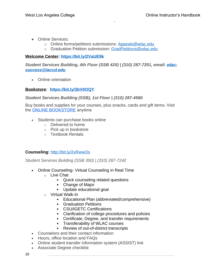- Online Services:
	- o Online forms/petitions submissions: [Appeals@wlac.edu](mailto:Appeals@wlac.edu)
	- o Graduation Petition submission: [GradPetitions@wlac.edu](mailto:GradPetitions@wlac.edu)

# **Welcome Center: <https://bit.ly/2VaUE9k>**

*Student Services Building, 4th Floor (SSB 420) | (310) 287-7251, email: [wlac](mailto:wlac-success@laccd.edu)[success@laccd.edu](mailto:wlac-success@laccd.edu)*

• Online orientation

# **[Bookstore:](http://www.wlac.edu/bookstore/index.aspx) <https://bit.ly/3bV0OQY>**

# *Student Services Building (SSB), 1st Floor | (310) 287-4560*

Buy books and supplies for your courses, plus snacks, cards and gift items. Visit the [ONLINE BOOKSTORE](http://onlinestore.wlac.edu/buy_courselisting.asp) anytime

- Students can purchase books online
	- o Delivered to home
	- o Pick up in bookstore
	- o Textbook Rentals

# **[Counseling:](http://www.wlac.edu/counseling/index.aspx)** <http://bit.ly/2vRwwOs>

*Student Services Building (SSB 350) | (310) 287-7242*

- Online Counseling- Virtual Counseling in Real Time
	- o Live Chat
		- Quick counseling related questions
		- Change of Major
		- Update educational goal
	- o Virtual Walk-In
		- Educational Plan (abbreviated/comprehensive)
		- **Graduation Petitions**
		- **CSU/IGETC Certifications**
		- Clarification of college procedures and policies
		- **Certificate, Degree, and transfer requirements**
		- Transferability of WLAC courses
		- **Review of out-of-district transcripts**
- Counselors and their contact information
- Hours, office location and FAQs
- Online student transfer information system (ASSIST) link
- Associate Degree checklist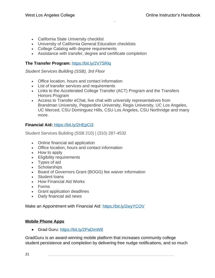- California State University checklist
- University of California General Education checklists
- College Catalog with degree requirements
- Assistance with transfer, degree and certificate completion

# **The Transfer Program:** <https://bit.ly/2V7SRlq>

*Student Services Building (SSB), 3rd Floor*

- Office location, hours and contact information
- List of transfer services and requirements
- Links to the Accelerated College Transfer (ACT) Program and the Transfers Honors Program
- Access to Transfer eChat, live chat with university representatives from Brandman University, Pepperdine University, Regis University, UC Los Angeles, UC Merced, CSU Dominguez Hills, CSU Los Angeles, CSU Northridge and many more.

# **Financial Aid:** <https://bit.ly/2HEpCi3>

Student Services Building (SSB 210) | (310) 287-4532

- Online financial aid application
- Office location, hours and contact information
- How to apply
- Eligibility requirements
- Types of aid
- Scholarships
- Board of Governors Grant (BOGG) fee waiver information
- Student loans
- How Financial Aid Works
- Forms
- Grant application deadlines
- Daily financial aid news

Make an Appointment with Financial Aid:<https://bit.ly/2wyYCOV>

#### **Mobile Phone Apps**

• Grad Guru:<https://bit.ly/2PaDmW8>

GradGuru is an award-winning mobile platform that increases community college student persistence and completion by delivering free nudge notifications, and so much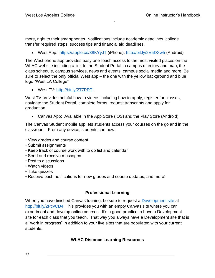more, right to their smartphones. Notifications include academic deadlines, college transfer required steps, success tips and financial aid deadlines.

• West App: https://apple.co/38KYyJI (iPhone),<http://bit.ly/2V5DXw5> (Android)

The West phone app provides easy one-touch access to the most visited places on the WLAC website including a link to the Student Portal, a campus directory and map, the class schedule, campus services, news and events, campus social media and more. Be sure to select the only official West app – the one with the yellow background and blue logo "West LA College"

• West TV:<http://bit.ly/2T7PRTI>

West TV provides helpful how-to videos including how to apply, register for classes, navigate the Student Portal, complete forms, request transcripts and apply for graduation.

• Canvas App: Available in the App Store (IOS) and the Play Store (Android)

The Canvas Student mobile app lets students access your courses on the go and in the classroom. From any device, students can now:

- View grades and course content
- Submit assignments
- Keep track of course work with to do list and calendar
- Send and receive messages
- Post to discussions
- Watch videos
- Take quizzes
- Receive push notifications for new grades and course updates, and more!

# **Professional Learning**

<span id="page-21-1"></span><span id="page-21-0"></span>When you have finished Canvas training, be sure to request a [Development site](https://docs.google.com/forms/d/e/1FAIpQLScRRD7rpsU0bYHXQvob_gTmef1mhQj9os7ck1Qh6GxdZhx7qA/viewform) at [http://bit.ly/2PcvCD4.](http://bit.ly/2PcvCD4) This provides you with an empty Canvas site where you can experiment and develop online courses. It's a good practice to have a Development site for each class that you teach. That way you always have a Development site that is a "work in progress" in addition to your live sites that are populated with your current students.

# **WLAC Distance Learning Resources**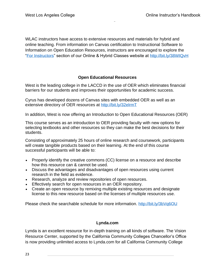WLAC instructors have access to extensive resources and materials for hybrid and online teaching. From information on Canvas certification to Instructional Software to Information on Open Education Resources, instructors are encouraged to explore the ["For Instructors"](http://www.wlac.edu/online/instructors.asp) section of our Online & Hybrid Classes website at<http://bit.ly/38WIQvH>

# **Open Educational Resources**

<span id="page-22-0"></span>West is the leading college in the LACCD in the use of OER which eliminates financial barriers for our students and improves their opportunities for academic success.

Cyrus has developed dozens of Canvas sites with embedded OER as well as an extensive directory of OER resources at<http://bit.ly/32elrmT>

In addition, West is now offering an Introduction to Open Educational Resources (OER)

This course serves as an introduction to OER providing faculty with new options for selecting textbooks and other resources so they can make the best decisions for their students.

Consisting of approximately 25 hours of online research and coursework, participants will create tangible products based on their learning. At the end of this course successful participants will be able to:

- Properly identify the creative commons (CC) license on a resource and describe how this resource can & cannot be used.
- Discuss the advantages and disadvantages of open resources using current research in the field as evidence.
- Research, analyze and review repositories of open resources.
- Effectively search for open resources in an OER repository.
- Create an open resource by remixing multiple existing resources and designate license to this new resource based on the licenses of multiple resources use.

Please check the searchable schedule for more information.<http://bit.ly/3bVq6OU>

# **Lynda.com**

<span id="page-22-1"></span>Lynda is an excellent resource for in-depth training on all kinds of software. The Vision Resource Center, supported by the California Community Colleges Chancellor's Office is now providing unlimited access to Lynda.com for all California Community College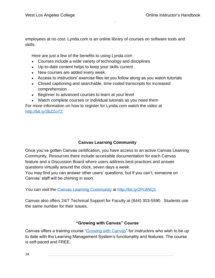employees at no cost. Lynda.com is an online library of courses on software tools and skills.

Here are just a few of the benefits to using Lynda.com

- Courses include a wide variety of technology and disciplines
- Up-to-date content helps to keep your skills current
- New courses are added every week
- Access to instructors' exercise files let you follow along as you watch tutorials
- Closed captioning and searchable, time coded transcripts for increased comprehension
- Beginner to advanced courses to learn at your level
- Watch complete courses or individual tutorials as you need them

For more information on how to register for Lynda.com watch the video at <http://bit.ly/3bZZo7Z>

# **Canvas Learning Community**

<span id="page-23-0"></span>Once you've gotten Canvas certification, you have access to an active Canvas Learning Community. Resources there include accessible documentation for each Canvas feature and a Discussion Board where users address best practices and answer questions virtually around the clock, seven days a week.

You may find you can answer other users' questions, but if you can't, someone on Canvas' staff will be chiming in soon.

You can visit the [Canvas Learning Community](https://community.canvaslms.com/) at<http://bit.ly/2Pc8NQ1>

Canvas also offers 24/7 Technical Support for Faculty at (844) 303-5590. Students use the same number for their issues.

# **"Growing with Canvas" Course**

<span id="page-23-1"></span>Canvas offers a training course ["Growing with Canvas"](https://community.canvaslms.com/groups/k12/blog/2018/07/24/growing-with-canvas-new-training-course) for instructors who wish to be up to date with the Learning Management System's functionality and features. The course is self-paced and FREE.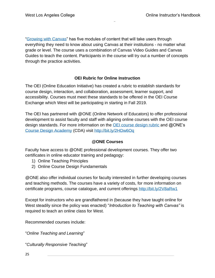["Growing with Canvas"](https://community.canvaslms.com/groups/k12/blog/2018/07/24/growing-with-canvas-new-training-course) has five modules of content that will take users through everything they need to know about using Canvas at their institutions - no matter what grade or level. The course uses a combination of Canvas Video Guides and Canvas Guides to teach the content. Participants in the course will try out a number of concepts through the practice activities.

# **OEI Rubric for Online Instruction**

<span id="page-24-0"></span>The OEI (Online Education Initiative) has created a rubric to establish standards for course design, interaction, and collaboration, assessment, learner support, and accessibility. Courses must meet these standards to be offered in the OEI Course Exchange which West will be participating in starting in Fall 2019.

The OEI has partnered with @ONE (Online Network of Educators) to offer professional development to assist faculty and staff with aligning online courses with the OEI course design standards. For more information on the **OEI** course design rubric and @ONE's [Course Design Academy](https://onlinenetworkofeducators.org/course-design-academy/) (CDA) visit <http://bit.ly/2HDw6Oq>

# **@ONE Courses**

<span id="page-24-1"></span>Faculty have access to @ONE professional development courses. They offer two certificates in online educator training and pedagogy:

- 1) Online Teaching Principles
- 2) Online Course Design Fundamentals

@ONE also offer individual courses for faculty interested in further developing courses and teaching methods. The courses have a variety of costs, for more information on certificate programs, course catalogue, and current offerings<http://bit.ly/2V8aRw1>

Except for instructors who are grandfathered in (because they have taught online for West steadily since the policy was enacted) "*Introduction to Teaching with Canvas"* is required to teach an online class for West.

Recommended courses include:

"*Online Teaching and Learning*"

"*Culturally Responsive Teaching*"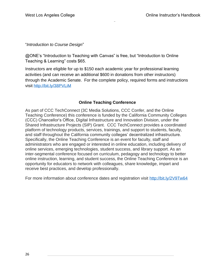## "*Introduction to Course Design*"

@ONE's "Introduction to Teaching with Canvas" is free, but "Introduction to Online Teaching & Learning" costs \$65.

Instructors are eligible for up to \$150 each academic year for professional learning activities (and can receive an additional \$600 in donations from other instructors) through the Academic Senate. For the complete policy, required forms and instructions visit<http://bit.ly/38PVLiM>

# **Online Teaching Conference**

<span id="page-25-0"></span>As part of CCC TechConnect (3C Media Solutions, CCC Confer, and the Online Teaching Conference) this conference is funded by the California Community Colleges (CCC) Chancellor's Office, Digital Infrastructure and Innovation Division, under the Shared Infrastructure Projects (SIP) Grant. CCC TechConnect provides a coordinated platform of technology products, services, trainings, and support to students, faculty, and staff throughout the California community colleges' decentralized infrastructure. Specifically, the Online Teaching Conference is an event for faculty, staff and administrators who are engaged or interested in online education, including delivery of online services, emerging technologies, student success, and library support. As an inter-segmental conference focused on curriculum, pedagogy and technology to better online instruction, learning, and student success, the Online Teaching Conference is an opportunity for educators to network with colleagues, share knowledge, impart and receive best practices, and develop professionally.

For more information about conference dates and registration visit<http://bit.ly/2V9Tw64>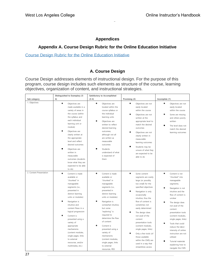# **Appendices**

# <span id="page-26-0"></span>**Appendix A. Course Design Rubric for the Online Education Initiative**

## <span id="page-26-1"></span>[Course Design Rubric for the Online Education Initiative](https://sites.google.com/site/coursedesignrubricoeifinal/home)

# **A. Course Design**

<span id="page-26-2"></span>Course Design addresses elements of instructional design. For the purpose of this program, course design includes such elements as structure of the course, learning objectives, organization of content, and instructional strategies.

|                         | Distinguished to Exemplary (5-                                                                                                                                                                                                                                                                                                                                                                                                      | Satisfactory to Accomplished                                                                                                                                                                                                                                                                                                                                                                                                 |                                                                                                                                                                                                                                                                                                                                                                                                                                                                                  |                                                                                                                                                                                                                                                                                                                                                                                                                                                 |
|-------------------------|-------------------------------------------------------------------------------------------------------------------------------------------------------------------------------------------------------------------------------------------------------------------------------------------------------------------------------------------------------------------------------------------------------------------------------------|------------------------------------------------------------------------------------------------------------------------------------------------------------------------------------------------------------------------------------------------------------------------------------------------------------------------------------------------------------------------------------------------------------------------------|----------------------------------------------------------------------------------------------------------------------------------------------------------------------------------------------------------------------------------------------------------------------------------------------------------------------------------------------------------------------------------------------------------------------------------------------------------------------------------|-------------------------------------------------------------------------------------------------------------------------------------------------------------------------------------------------------------------------------------------------------------------------------------------------------------------------------------------------------------------------------------------------------------------------------------------------|
| Sub-category            | 6)                                                                                                                                                                                                                                                                                                                                                                                                                                  | $(3-4)$                                                                                                                                                                                                                                                                                                                                                                                                                      | Promising (2)                                                                                                                                                                                                                                                                                                                                                                                                                                                                    | Incomplete (1)                                                                                                                                                                                                                                                                                                                                                                                                                                  |
| 1. Objectives           | $\bullet$<br>Objectives are<br>made available in a<br>variety of areas in<br>the course (within<br>the syllabus and<br>each individual<br>learning unit or<br>module)<br>Objectives are<br>clearly written at<br>the appropriate<br>level and reflect<br>desired outcomes<br>Objectives are<br>written in<br>measurable<br>outcomes (students<br>know what they are<br>expected to be able                                          | $\bullet$<br>Objectives are<br>located within the<br>course syllabus or<br>the individual<br>learning units<br>Objectives are<br>written to reflect<br>desired learning<br>outcomes,<br>although not all<br>are written as<br>measurable<br>outcomes<br>Students<br>understand of what<br>is expected of<br>them                                                                                                             | $\bullet$<br>Objectives are not<br>easily located<br>within the course<br>Objectives are not<br>written at the<br>appropriate level to<br>match the desired<br>outcomes<br>Objectives are not<br>clearly written in<br>measurable<br>learning outcomes<br>Students may be<br>unsure of what they<br>are expected to be<br>able to do                                                                                                                                             | $\bullet$<br>Objectives are not<br>easily located<br>within the course<br>$\bullet$<br>Some are missing<br>and others poorly<br>written<br>$\bullet$<br>The level does not<br>match the desired<br>learning outcomes                                                                                                                                                                                                                            |
| 2. Content Presentation | to do)<br>$\bullet$<br>Content is made<br>available or<br>"chunked" in<br>manageable<br>segments (i.e.,<br>presented in<br>distinct learning<br>units or modules)<br>Navigation is<br>intuitive and<br>content flows in a<br>logical progression<br>Content is<br>presented using a<br>variety of<br>appropriate<br>mechanisms<br>(content modules,<br>single pages, links<br>to external<br>resources, and/or<br>multimedia, etc.) | $\bullet$<br>Content is made<br>available or<br>"chunked" in<br>manageable<br>segments (i.e.,<br>presented in<br>distinct learning<br>units or modules)<br>Navigation is<br>somewhat intuitive,<br>but some<br>"exploring" is<br>required to<br>determine the flow<br>of content<br>Content is<br>presented using a<br>variety of<br>mechanisms<br>(content modules,<br>single pages, links<br>to external<br>resources, RSS | $\bullet$<br>Some content<br>segments are overly<br>large (or possibly<br>too small) for the<br>specified objectives<br>Navigation is only<br>occasionally<br>intuitive, thus the<br>flow of content is<br>sometimes not<br>easily determined<br>The design does<br>not avail of the<br>content<br>presentation tools<br>(content modules,<br>single pages, links)<br>Only a few tools (of<br>those available<br>within the CMS) are<br>used in a way that<br>streamlines access | $\bullet$<br>Content is not<br>"chunked" into<br>manageable<br>segments;<br>٠<br>Navigation is not<br>intuitive and the<br>flow of content is<br>unclear<br>The design does<br>not avail of the<br>content<br>presentation tools<br>(content modules,<br>single pages, links)<br>Tools that could<br>reduce the labor-<br>intensity of online<br>instruction are not<br>utilized<br>Tutorial materials<br>explaining how to<br>navigate the CMS |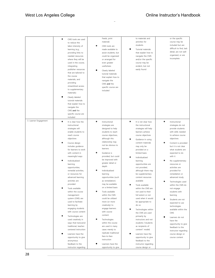# West Los Angeles College **College College College** College College College College College College College College

|                       | CMS tools are used<br>to reduce the<br>labor-intensity of<br>learning (e.g.,<br>providing links to<br>needed resources<br>where they will be<br>used in the course,<br>integrating<br>publisher resources<br>that are tailored to<br>the course<br>materials, and<br>providing<br>streamlined access<br>to supplementary<br>materials)<br>Clearly labeled<br>tutorial materials<br>that explain how to<br>navigate the<br>CMS and the<br>specific course are<br>included                                                                                                                                                                                                                                                                                     | Feeds, print<br>material)<br>CMS tools are<br>made available to<br>assist students, but<br>could be organized<br>or arranged for<br>even greater<br>usefulness<br>Clearly labeled<br>tutorial materials<br>that explain how to<br>navigate the<br>CMS and the<br>specific course are<br>included                                                                                                                                                                                                                                                                                                                                                                                                                      | to materials and<br>activities for<br>students<br><b>Tutorial materials</b><br>٠<br>that explain how to<br>navigate the CMS<br>and/or the specific<br>course may be<br>evident, but not<br>easily found                                                                                                                                                                                                                                                                                                                                                                                                                                                                                                                                                                        | or the specific<br>course may be<br>included but are<br>difficult to find, lack<br>detail, are not well<br>organized, or are<br>incomplete                                                                                                                                                                                                                                                                                                                                                                                                                                                                                                                    |
|-----------------------|--------------------------------------------------------------------------------------------------------------------------------------------------------------------------------------------------------------------------------------------------------------------------------------------------------------------------------------------------------------------------------------------------------------------------------------------------------------------------------------------------------------------------------------------------------------------------------------------------------------------------------------------------------------------------------------------------------------------------------------------------------------|-----------------------------------------------------------------------------------------------------------------------------------------------------------------------------------------------------------------------------------------------------------------------------------------------------------------------------------------------------------------------------------------------------------------------------------------------------------------------------------------------------------------------------------------------------------------------------------------------------------------------------------------------------------------------------------------------------------------------|--------------------------------------------------------------------------------------------------------------------------------------------------------------------------------------------------------------------------------------------------------------------------------------------------------------------------------------------------------------------------------------------------------------------------------------------------------------------------------------------------------------------------------------------------------------------------------------------------------------------------------------------------------------------------------------------------------------------------------------------------------------------------------|---------------------------------------------------------------------------------------------------------------------------------------------------------------------------------------------------------------------------------------------------------------------------------------------------------------------------------------------------------------------------------------------------------------------------------------------------------------------------------------------------------------------------------------------------------------------------------------------------------------------------------------------------------------|
| 3. Learner Engagement | $\bullet$<br>It is clear how the<br>instructional<br>strategies will<br>enable students to<br>reach course<br>objectives<br>Course design<br>includes guidance<br>for learners to work<br>with content in<br>meaningful ways<br>Individualized<br>learning<br>opportunities,<br>remedial activities,<br>or resources for<br>advanced learning<br>activities are<br>provided<br>Tools available<br>within the course<br>management<br>system (CMS) are<br>used to facilitate<br>learning by<br>engaging students<br>with course content<br>Technologies are<br>used creatively in<br>ways that transcend<br>traditional, teacher-<br>centered instruction<br>Learners have the<br>opportunity to give<br>anonymous<br>feedback to the<br>instructor regarding | $\bullet$<br>Instructional<br>strategies are<br>designed to help<br>students to reach<br>course objectives,<br>although this<br>relationship may<br>not be obvious to<br>learners<br>Guidance is<br>provided, but could<br>be improved with<br>greater detail or<br>depth<br>Individualized<br>learning<br>opportunities (such<br>as remediation)<br>may be available<br>on a limited basis<br>Tools available<br>within the CMS<br>could be utilized<br>more (or more<br>creatively) to<br>engage learners<br>with course<br>content<br>Technologies<br>within the course<br>are used in many<br>cases merely to<br>replicate traditional<br>face-to-face<br>instruction<br>Learners have the<br>opportunity to give | $\bullet$<br>It is not clear how<br>the instructional<br>strategies will help<br>learners achieve<br>course objectives<br>٠<br>Guidance in using<br>content materials<br>may only be<br>provided on a<br>limited basis<br>Individualized<br>learning<br>opportunities are<br>not provided,<br>although there may<br>be supplementary<br>content resources<br>available<br>Tools available<br>within the CMS are<br>not used to their<br>full extent or not<br>used when it would<br>be appropriate to<br>do so<br>٠<br>Technologies within<br>the CMS are used<br>primarily by<br>instructors and not<br>students ("students<br>as recipients of<br>content" model)<br>Learners have the<br>opportunity to give<br>feedback to the<br>instructor regarding<br>course design or | $\bullet$<br>Instructional<br>strategies do not<br>provide students<br>with skills needed<br>to achieve course<br>objectives<br>Content is provided<br>but it is not clear<br>what students are<br>expected to do<br>with it<br>No supplementary<br>resources or<br>activities are<br>provided for<br>remediation or<br>advanced study<br>Technologies used<br>within the CMS do<br>not engage<br>students with<br>learning<br>Students are not<br>expected to use<br>technologies<br>available within the<br>CMS<br>٠<br>Learners do not<br>have the<br>opportunity to give<br>feedback to the<br>instructor regarding<br>course design or<br>course content |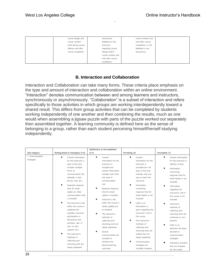| course design and  | anonymous           | course content, but |  |
|--------------------|---------------------|---------------------|--|
| course content     | feedback to the     | only after course   |  |
| both during course | instructor          | completion, or the  |  |
| delivery and after | regarding course    | feedback is not     |  |
| course completion  | design and/or       | anonymous           |  |
|                    | course content, but |                     |  |
|                    | only after course   |                     |  |
|                    | completion          |                     |  |

# **B. Interaction and Collaboration**

<span id="page-28-0"></span>Interaction and Collaboration can take many forms. These criteria place emphasis on the type and amount of interaction and collaboration within an online environment. "Interaction" denotes communication between and among learners and instructors, synchronously or asynchronously. "Collaboration" is a subset of interaction and refers specifically to those activities in which groups are working interdependently toward a shared result. This differs from group activities that can be completed by students working independently of one another and then combining the results, much as one would when assembling a jigsaw puzzle with parts of the puzzle worked out separately then assembled together. A learning community is defined here as the sense of belonging to a group, rather than each student perceiving himself/herself studying independently.

|                                |                                                                                                                                                                                                                                                                                                                                                                                                                                                                                                                                                                  | Satisfactory to Accomplished                                                                                                                                                                                                                                                                                                                                                                                                                                                                              |                                                                                                                                                                                                                                                                                                                                                                                                                                                                                                                      |                                                                                                                                                                                                                                                                                                                                                                                                                                                                                                            |
|--------------------------------|------------------------------------------------------------------------------------------------------------------------------------------------------------------------------------------------------------------------------------------------------------------------------------------------------------------------------------------------------------------------------------------------------------------------------------------------------------------------------------------------------------------------------------------------------------------|-----------------------------------------------------------------------------------------------------------------------------------------------------------------------------------------------------------------------------------------------------------------------------------------------------------------------------------------------------------------------------------------------------------------------------------------------------------------------------------------------------------|----------------------------------------------------------------------------------------------------------------------------------------------------------------------------------------------------------------------------------------------------------------------------------------------------------------------------------------------------------------------------------------------------------------------------------------------------------------------------------------------------------------------|------------------------------------------------------------------------------------------------------------------------------------------------------------------------------------------------------------------------------------------------------------------------------------------------------------------------------------------------------------------------------------------------------------------------------------------------------------------------------------------------------------|
| Sub-category                   | Distinguished to Exemplary (5-6)                                                                                                                                                                                                                                                                                                                                                                                                                                                                                                                                 | $(3-4)$                                                                                                                                                                                                                                                                                                                                                                                                                                                                                                   | Promising (2)                                                                                                                                                                                                                                                                                                                                                                                                                                                                                                        | Incomplete (1)                                                                                                                                                                                                                                                                                                                                                                                                                                                                                             |
| 1. Communication<br>Strategies | ٠<br>Contact information<br>for the instructor is<br>easy to find and<br>includes multiple<br>forms of<br>communication (for<br>example, e-mail,<br>phone, chat, etc.)<br>Expected response<br>time for email<br>replies (or other<br>communication tool)<br>is included<br>The instructor's role<br>within the course is<br>explained (for<br>example, instructor<br>participation in<br>discussions and<br>activities, role-if<br>any-in tech<br>support, etc.)<br>The instructor's<br>methods of<br>collecting and<br>returning work are<br>clearly explained | ٠<br>Contact<br>information for the<br>instructor is<br>included and<br>contact information<br>includes more than<br>one type of<br>communication<br>tool<br>Expected response<br>time for email<br>replies is included<br>Instructor's role<br>within the course is<br>clearly spelled out<br>to students<br>The instructor's<br>methods of<br>collecting and<br>returning work are<br>clearly explained<br>Several<br>communication are<br>included to<br>reinforce the<br>desired learning<br>outcomes | ٠<br>Contact<br>information for the<br>instructor is<br>provided but not<br>easy to find and<br>includes only one<br>way to reach the<br>instructor<br>Information<br>concerning<br>response time for<br>email replies is not<br>included<br>Little or no<br>information is<br>given regarding the<br>instructor's role in<br>the course<br>The instructor's<br>methods of<br>collecting and<br>returning work are<br>evident but not<br>clearly explained.<br>Communication<br>strategies are<br>included, however, | Contact information<br>for the instructor is<br>sketchy, at best<br>Information<br>concerning<br>response time for<br>email replies is not<br>included<br>Information<br>regarding the<br>instructor's role in<br>the course is not<br>included<br>Instructor's<br>methods of<br>collecting and<br>returning work are<br>confusing or non-<br>existent.<br>Little to no<br>attention has been<br>devoted to<br>communication<br>strategies<br>Interaction activities<br>that are included<br>do not invoke |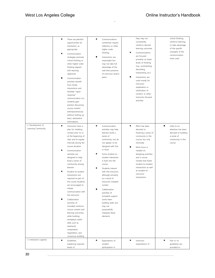|                          | There are plentiful<br>opportunities for<br>interaction, as<br>appropriate<br>Communication<br>strategies promote<br>critical thinking or<br>other higher order<br>thinking aligned<br>with learning<br>objectives<br>Communication<br>activities benefit<br>from timely<br>interactions and<br>facilitate "rapid<br>response"<br>communication (i.e.,<br>students gain<br>practice discussing<br>course content<br>extemporaneously<br>without looking up<br>basic, declarative<br>information)                                                                                                                                                     | Communications<br>sometimes require<br>reflection or other<br>higher order<br>thinking<br>Interactions are<br>meaningful but<br>may not take full<br>advantage of the<br>real-time presence<br>of instructor and/or<br>peers                                                                                                                                                                                                                                                            | they may not<br>consistently<br>reinforce desired<br>learning outcomes<br>$\bullet$<br>Communications<br>are focused<br>primarily on lower<br>levels of thinking<br>(e.g., summarizing,<br>describing,<br>interpreting, etc.)<br>٠<br>Interactions are<br>used mostly for<br>instructor<br>explanation or<br>clarification of<br>content, or other<br>instructor-focused<br>activities | critical thinking,<br>reinforce learning,<br>or take advantage<br>of the specific<br>strengths of the<br>communication<br>tools used |
|--------------------------|------------------------------------------------------------------------------------------------------------------------------------------------------------------------------------------------------------------------------------------------------------------------------------------------------------------------------------------------------------------------------------------------------------------------------------------------------------------------------------------------------------------------------------------------------------------------------------------------------------------------------------------------------|-----------------------------------------------------------------------------------------------------------------------------------------------------------------------------------------------------------------------------------------------------------------------------------------------------------------------------------------------------------------------------------------------------------------------------------------------------------------------------------------|----------------------------------------------------------------------------------------------------------------------------------------------------------------------------------------------------------------------------------------------------------------------------------------------------------------------------------------------------------------------------------------|--------------------------------------------------------------------------------------------------------------------------------------|
| 2. Development of        | ٠<br>Instructors have a                                                                                                                                                                                                                                                                                                                                                                                                                                                                                                                                                                                                                              | Communication                                                                                                                                                                                                                                                                                                                                                                                                                                                                           | ٠<br>Effort has been                                                                                                                                                                                                                                                                                                                                                                   | ٠<br>Little to no                                                                                                                    |
| Learning Community       | plan for initiating<br>contact prior to or<br>at the beginning of<br>class and at regular<br>intervals during the<br>course duration<br>Communication<br>activities are<br>designed to help<br>build a sense of<br>community among<br>learners<br>Student-to-student<br>interactions are<br>required as part of<br>the course Students<br>are encouraged to<br>initiate<br>communication with<br>the instructor<br>Collaboration<br>activities (if<br>included) reinforce<br>course content and<br>learning outcomes,<br>while building<br>workplace-useful<br>skills such as<br>teamwork,<br>cooperation,<br>negotiation, and<br>consensus-building | activities may help<br>learners build a<br>sense of<br>community, but do<br>not appear to be<br>designed with this<br>in mind<br>Some student-to-<br>student interaction<br>is built into the<br>course<br>Students interact<br>with the instructor,<br>although primarily<br>as a result of<br>instructor-initiated<br>contact<br>Collaboration<br>activities (if<br>included) support<br>some team-<br>building skills, but<br>may not<br>purposefully<br>integrate these<br>elements | devoted to<br>fostering a sense of<br>community in the<br>course, but only<br>minimally<br>More focus is<br>needed on<br>designing activities<br>and a course<br>climate that foster<br>student-to-student<br>interactions as well<br>as student-to-<br>instructor<br>interactions                                                                                                     | attention has been<br>devoted to building<br>a sense of<br>community in this<br>course                                               |
| 3. Interaction Logistics | $\bullet$<br>Guidelines<br>explaining required                                                                                                                                                                                                                                                                                                                                                                                                                                                                                                                                                                                                       | $\bullet$<br>Expectations of<br>student                                                                                                                                                                                                                                                                                                                                                                                                                                                 | $\bullet$<br>Instructor<br>expectations of                                                                                                                                                                                                                                                                                                                                             | $\bullet$<br>Few or no<br>guidelines are                                                                                             |
|                          | levels of                                                                                                                                                                                                                                                                                                                                                                                                                                                                                                                                                                                                                                            | participation in                                                                                                                                                                                                                                                                                                                                                                                                                                                                        |                                                                                                                                                                                                                                                                                                                                                                                        | provided to                                                                                                                          |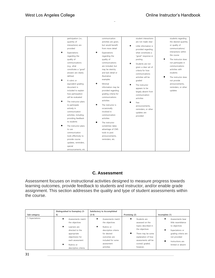| participation (i.e.,<br>quantity of<br>interactions) are<br>provided<br>Expectations<br>regarding the<br>quality of<br>communications<br>(e.g., what<br>constitutes a "good"<br>answer) are clearly<br>defined<br>A rubric or<br>equivalent grading<br>document is<br>included to explain                                            | communication<br>activities are given,<br>but would benefit<br>$\bullet$<br>from more detail<br>Expectations<br>regarding the<br>quality of<br>communications<br>are included, but<br>may be sketchy<br>and lack detail or<br>illustrative<br>examples<br>Minimal<br>information may be<br>provided regarding | student interactions<br>are not made clear<br>Little information is<br>provided regarding<br>what constitutes a<br>"good" response or<br>posting<br>Students are not<br>given a clear set of<br>criteria for how<br>communications<br>activities will be<br>graded<br>The instructor<br>appears to be<br>largely absent from | students regarding<br>the desired quantity<br>or quality of<br>communications/<br>interactions within<br>the course<br>The instructor does<br>not participate in<br>communications<br>activities with<br>students<br>The instructor does<br>not provide<br>announcements,<br>reminders, or other<br>updates |
|--------------------------------------------------------------------------------------------------------------------------------------------------------------------------------------------------------------------------------------------------------------------------------------------------------------------------------------|---------------------------------------------------------------------------------------------------------------------------------------------------------------------------------------------------------------------------------------------------------------------------------------------------------------|------------------------------------------------------------------------------------------------------------------------------------------------------------------------------------------------------------------------------------------------------------------------------------------------------------------------------|-------------------------------------------------------------------------------------------------------------------------------------------------------------------------------------------------------------------------------------------------------------------------------------------------------------|
| how participation<br>will be evaluated<br>The instructor plans<br>to participate<br>actively in<br>communication<br>activities, including<br>providing feedback<br>to students<br>The instructor plans<br>to use<br>communication<br>tools effectively to<br>provide course<br>updates, reminders,<br>special<br>announcements, etc. | grading criteria for<br>communications<br>activities<br>The instructor is<br>occasionally<br>involved in<br>communication<br>activities<br>The instructor<br>sometimes takes<br>advantage of CMS<br>tools to post<br>announcements,<br>reminders, etc.                                                        | communication<br>activities<br>Few<br>announcements,<br>reminders, or other<br>updates are<br>provided                                                                                                                                                                                                                       |                                                                                                                                                                                                                                                                                                             |

# **C. Assessment**

<span id="page-30-0"></span>Assessment focuses on instructional activities designed to measure progress towards learning outcomes, provide feedback to students and instructor, and/or enable grade assignment. This section addresses the quality and type of student assessments within the course.

| Sub-category    | Distinguished to Exemplary (5-<br>6)                                                                                                                               | Satisfactory to Accomplished<br>$(3-4)$                                                                                                                             | Promising (2)                                                                                                                                                             | Incomplete (1)                                                                                                                                              |
|-----------------|--------------------------------------------------------------------------------------------------------------------------------------------------------------------|---------------------------------------------------------------------------------------------------------------------------------------------------------------------|---------------------------------------------------------------------------------------------------------------------------------------------------------------------------|-------------------------------------------------------------------------------------------------------------------------------------------------------------|
| 1. Expectations | Assessments match<br>the objectives<br>Learners are<br>directed to the<br>appropriate<br>objective(s) for<br>each assessment<br>Rubrics or<br>descriptive criteria | ٠<br>Assessments match<br>the objectives<br>٠<br>Rubrics or<br>descriptive criteria<br>for desired<br>outcomes are<br>included for some<br>assessment<br>activities | Students are<br>assessed on the<br>topics described in<br>the objectives<br>There may be some<br>explanation of how<br>assessments will be<br>scored/ graded,<br>however. | Assessments bear<br>little resemblance<br>to objectives<br>Expectations or<br>grading criteria are<br>not provided<br>Instructions are<br>limited or absent |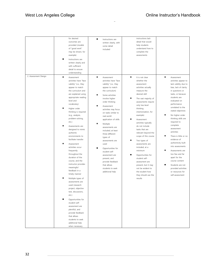|                      | for desired             | $\bullet$<br>Instructions are | instructions lack              |                       |
|----------------------|-------------------------|-------------------------------|--------------------------------|-----------------------|
|                      | outcomes are            | written clearly, with         | detail that would              |                       |
|                      | provided (models        | some detail                   | help students                  |                       |
|                      | of "good work"          | included                      | understand how to              |                       |
|                      | may be shown, for       |                               | complete the                   |                       |
|                      | example)                |                               | assessments                    |                       |
|                      | ٠<br>Instructions are   |                               |                                |                       |
|                      | written clearly and     |                               |                                |                       |
|                      | with sufficient         |                               |                                |                       |
|                      | detail to ensure        |                               |                                |                       |
|                      | understanding           |                               |                                |                       |
| 2. Assessment Design |                         | $\bullet$                     | $\bullet$                      | $\bullet$             |
|                      | $\bullet$<br>Assessment | Assessment                    | It is not clear                | Assessment            |
|                      | activities have "face   | activities have "face         | whether the                    | activities appear to  |
|                      | validity" (i.e., they   | validity" (i.e., they         | assessment                     | lack validity due to  |
|                      | appear to match         | appear to match               | activities actually            | bias, lack of clarity |
|                      | the curriculum and      | the curriculum)               | measure the                    | in questions or       |
|                      | are explained using     | Some activities               | desired skill                  | tasks, or because     |
|                      | appropriate reading     | involve higher                | The vast majority of           | students are          |
|                      | level and               | order thinking                | assessments require            | evaluated on          |
|                      | vocabulary)             | Assessment                    | only low-level                 | performance           |
|                      | Higher order            | activities may focus          | thinking                       | unrelated to the      |
|                      | thinking is required    | on tasks similar to           | (memorization, for             | stated objectives     |
|                      | (e.g., analysis,        | real-world                    | example)                       | No higher-order       |
|                      | problem-solving,        | application of skills         | Assessment                     | thinking skills are   |
|                      | etc.)                   | Multiple                      | activities typically           | required to           |
|                      | Assessments are         | assessments are               | do not include                 | complete              |
|                      | designed to mimic       | included; at least            | tasks that are                 | assessment            |
|                      | authentic               | three different               | relevant beyond the            | activities            |
|                      | environments to         | types of                      | scope of this course           | There is little or no |
|                      | facilitate transfer     | assessments are               | Two types of                   | evidence of           |
|                      | ٠<br>Assessment         | used                          | assessments are                | authenticity built    |
|                      | activities occur        |                               | included, at a                 | into assessments      |
|                      | frequently              | Opportunities for             | minimum                        | Assessments are       |
|                      | throughout the          | student self-                 |                                | too few and far       |
|                      | duration of the         | assessment are                | Opportunities for              | apart for the         |
|                      | course, and the         | present, and                  | student self-                  | course content        |
|                      | instructor provides     | provide feedback              | assessment are                 |                       |
|                      | meaningful              | that allows                   | present, but it may            | Students are not      |
|                      | feedback in a           | students to seek              | not be evident to              | provided activities   |
|                      | timely manner           | additional help               | the student how                | or resources for      |
|                      | Multiple types of       |                               | they should use the<br>results | self-assessment       |
|                      | assessments are         |                               |                                |                       |
|                      | used (research          |                               |                                |                       |
|                      | project, objective      |                               |                                |                       |
|                      | test, discussions,      |                               |                                |                       |
|                      |                         |                               |                                |                       |
|                      | etc.)                   |                               |                                |                       |
|                      | Opportunities for       |                               |                                |                       |
|                      | student self-           |                               |                                |                       |
|                      | assessment are          |                               |                                |                       |
|                      | plentiful, and          |                               |                                |                       |
|                      | provide feedback        |                               |                                |                       |
|                      | that allows             |                               |                                |                       |
|                      | students to seek        |                               |                                |                       |
|                      | additional help         |                               |                                |                       |
|                      | when necessary          |                               |                                |                       |

L,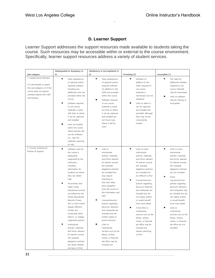# **D. Learner Support**

<span id="page-32-0"></span>Learner Support addresses the support resources made available to students taking the course. Such resources may be accessible within or external to the course environment. Specifically, learner support resources address a variety of student services.

|                              | Distinguished to Exemplary (5-       | Satisfactory to Accomplished (3- |                                           |                           |
|------------------------------|--------------------------------------|----------------------------------|-------------------------------------------|---------------------------|
| Sub-category                 | 6)                                   | 4)                               | Promising (2)                             | Incomplete (1)            |
| 1. Supplemental Software     | Clear explanations                   | Clear explanations               | Software (in                              | $\bullet$<br>The need for |
|                              | of optional and/or                   | of optional and/or               | addition to the                           | additional software       |
| It is permissible to award   | required software                    | required software                | CMS) required to                          | required to use           |
| this sub-category a 6 if the | including any                        | (in addition to the              | use course                                | course materials          |
| course does not require      | additional costs are                 | CMS) are provided                | materials is                              | may be mentioned          |
| software beyond the CMS      | provided within the                  | within the course                | mentioned, but not                        | Links to software         |
| and browser.                 | course                               | Software required                | explained                                 | may be missing or         |
|                              | Software required                    | to use course                    | Links to where it                         | incomplete                |
|                              | to use course                        | materials is listed              | can be captured                           |                           |
|                              | materials is listed                  | but links to where               | and installed are                         |                           |
|                              | with links to where                  | it can be captured               | provided, although                        |                           |
|                              | it can be captured                   | and installed are                | they may not be                           |                           |
|                              | and installed                        | not found near                   | conveniently                              |                           |
|                              | Links are located                    | where it will be                 | located                                   |                           |
|                              | within the course                    | used                             |                                           |                           |
|                              | where learners will                  |                                  |                                           |                           |
|                              | use the software                     |                                  |                                           |                           |
|                              | (i.e., near the                      |                                  |                                           |                           |
|                              | materials requiring                  |                                  |                                           |                           |
|                              | its use)                             |                                  |                                           |                           |
| 2. Course/ Institutional     | $\bullet$                            | $\bullet$                        | $\bullet$                                 | $\bullet$                 |
| Policies & Support           | Software used for                    | Links to                         | Links to some                             | Links to some             |
|                              | the course is                        | institutional                    | institutional                             | institutional             |
|                              | adequately                           | policies, materials,             | policies, materials,                      | policies, materials,      |
|                              | supported by the                     | and forms relevant               | and forms relevant                        | and forms relevant        |
|                              | institution,                         | for learner success              | for learner success                       | for learner success       |
|                              | including                            | (for example,                    | (for example,                             | (for example,             |
|                              | information for                      | plagiarism policies)             | plagiarism policies)                      | plagiarism policies)      |
|                              | students on where<br>they can obtain | are included but<br>may require  | are included but<br>are difficult to find | are not included          |
|                              | help                                 | searching to                     |                                           | Some                      |
|                              |                                      | find; links allow                | Course/instructor                         | course/instructor         |
|                              | All activities that                  | easy navigation                  | policies regarding                        | policies regarding        |
|                              | might create                         | from the course to               | decorum, behavior,                        | decorum, behavior,        |
|                              | educational records                  | the information and              | and netiquette are                        | and netiquette may        |
|                              | (as defined by the                   | back                             | included but are                          | be included but are       |
|                              | Family Educational                   |                                  | not clearly written                       | not clearly written       |
|                              | Records Privacy                      | Course/instructor                | or would benefit                          | or would benefit          |
|                              | Act) or that involve                 | policies regarding               | from more detail                          | from more detail          |
|                              | regular effective                    | decorum, behavior,               | A few links to                            | Links to                  |
|                              | contact are                          | and netiquette are               | institutional                             | institutional             |
|                              | conducted within                     | included and are                 | services such as the                      | services such as the      |
|                              | district- or college-                | written clearly to               | library, writing                          | library, writing          |
|                              | supported systems                    | avoid confusion                  | center, or financial                      | center, or financial      |
|                              | Institutional                        | Links to                         | aid office may be                         | aid office are not        |
|                              | policies, materials,                 | institutional                    | included but                              | included                  |
|                              | and forms relevant                   | services such as the             | require searching                         |                           |
|                              | for learner success                  | library, writing                 | to find                                   |                           |
|                              | (for example,                        | center, or financial             |                                           |                           |
|                              | plagiarism policies)                 | aid office may be                |                                           |                           |
|                              | are clearly labeled                  | included but                     |                                           |                           |
|                              | and easy to find;                    |                                  |                                           |                           |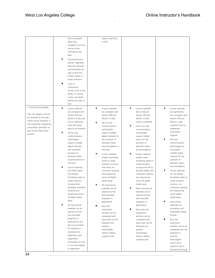|                              | links (if present)     | require searching                        |                               |                                         |
|------------------------------|------------------------|------------------------------------------|-------------------------------|-----------------------------------------|
|                              | allow easy             | to find                                  |                               |                                         |
|                              | navigation from the    |                                          |                               |                                         |
|                              | course to the          |                                          |                               |                                         |
|                              | information and        |                                          |                               |                                         |
|                              |                        |                                          |                               |                                         |
|                              | back                   |                                          |                               |                                         |
|                              | Course/instructor      |                                          |                               |                                         |
|                              | policies regarding     |                                          |                               |                                         |
|                              | decorum, behavior,     |                                          |                               |                                         |
|                              | and netiquette are     |                                          |                               |                                         |
|                              | easy to find and       |                                          |                               |                                         |
|                              | written clearly to     |                                          |                               |                                         |
|                              | avoid confusion        |                                          |                               |                                         |
|                              |                        |                                          |                               |                                         |
|                              | Links to               |                                          |                               |                                         |
|                              | institutional          |                                          |                               |                                         |
|                              | services such as the   |                                          |                               |                                         |
|                              | library, or writing    |                                          |                               |                                         |
|                              | center, are clearly    |                                          |                               |                                         |
|                              | labeled and easy to    |                                          |                               |                                         |
|                              | find                   |                                          |                               |                                         |
| 3. Technical Accessibility   | Course materials       | Course materials                         | $\bullet$<br>Course materials | $\bullet$<br>Course materials           |
|                              | are compliant with     | are compliant with                       | fail to meet all              | are significantly                       |
| This sub-category will not   | Section 508 and        | Section 508 and                          | Section 508 and               | non-compliant with                      |
| be reviewed by the peer      | WCAG 2.0 (AA) and      | WCAG 2.0 (AA).                           | <b>WCAG 2.0 (AA)</b>          | Section 508 and                         |
| online course reviewers; it  | can be effectively     | All non-text                             | criteria completely           | WCAG or add                             |
| will instead be reviewed by  | used with equal        | communications                           | Some non-text                 | cognitive load via                      |
| accessibility specialists as | ease by all students   |                                          | communications                | inadequate                              |
| part of the initial review   |                        | technologies                             |                               | accessibility                           |
| process.                     | All non-text           | support multiple<br>digital channels for | technologies                  | supports                                |
|                              | communications         |                                          | support limited               | ٠                                       |
|                              | technologies           | the provision of                         | means for the                 | Non-text                                |
|                              | support multiple       | alternate media                          | provision of                  | communications                          |
|                              | digital channels       | accommodations in                        | alternate media               | technologies do                         |
|                              | with automatic         | real time                                | accommodations                | not support                             |
|                              | provision of           | Course materials                         | Course materials              | multiple digital                        |
|                              | alternate media        | employ formatting                        | employ some                   | channels for the                        |
|                              | accommodations in      | styles to create                         | formatting styles to          | provision of                            |
|                              | real time              | semantic structure                       | create semantic               | alternate media                         |
|                              | Course materials       | that allows for                          | structure but fail to         | accommodations                          |
|                              | are HTML-based         | consistent meaning                       | provide reliable and          | $\bullet$<br>Course materials           |
|                              | and employ             | and sequencing                           | consistent meaning            | do not employ                           |
|                              | formatting styles to   | across all digital                       | and sequencing                | formatting styles to                    |
|                              | create semantic        | media types                              | across all digital            | create semantic                         |
|                              | structure that         |                                          | media types                   | structure, nor                          |
|                              | facilitates consistent | All instructional                        |                               | consistent meaning                      |
|                              | meaning and            | materials can be                         | Most instructional            | and sequencing                          |
|                              |                        | opened via free                          | materials can be              | across digital                          |
|                              | sequencing across      | and accessible                           | opened via free               | media types                             |
|                              | all digital media      | programs or                              | and accessible                |                                         |
|                              | types                  | applications                             | programs or                   | $\bullet$<br>Instructional              |
|                              | All instructional      | Quiz and                                 | applications                  | materials use                           |
|                              | materials can be       | assessment                               | Most quiz and                 | proprietary and                         |
|                              | opened via free        | activities can be                        | assessment                    | inaccessible media                      |
|                              | and accessible         | completed with                           | activities can be             | formats                                 |
|                              | programs or            | equal ease via the                       | completed with                | Quiz and                                |
|                              | applications, and      | keyboard and                             | equal ease via the            | assessment                              |
|                              | links are provided     | assistive                                | keyboard and                  | activities cannot be                    |
|                              | for students to        | technologies                             | assistive                     | completed with the                      |
|                              | download the           | without adding                           | technologies                  | keyboard or                             |
|                              | application with       | cognitive load                           | without adding                | assistive                               |
|                              | supporting             |                                          | cognitive load                | technologies,                           |
|                              | information on how     |                                          |                               |                                         |
|                              | to use the program     |                                          |                               | and/or extra                            |
|                              | or application         |                                          |                               | cognitive load is<br>introduced through |
|                              |                        |                                          |                               |                                         |
| 34                           |                        |                                          |                               |                                         |

 $\equiv$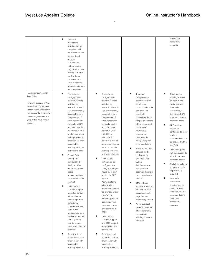|                                                                                                                                                                                               | ٠         | Quiz and<br>assessment<br>activities can be<br>completed with<br>equal ease via the<br>keyboard and                                                                                                                                                                 |           |                                                                                                                                                                                                                                                                      |           |                                                                                                                                                                                                                       |           | inadequate<br>accessibility<br>supports                                                                                                                                                        |
|-----------------------------------------------------------------------------------------------------------------------------------------------------------------------------------------------|-----------|---------------------------------------------------------------------------------------------------------------------------------------------------------------------------------------------------------------------------------------------------------------------|-----------|----------------------------------------------------------------------------------------------------------------------------------------------------------------------------------------------------------------------------------------------------------------------|-----------|-----------------------------------------------------------------------------------------------------------------------------------------------------------------------------------------------------------------------|-----------|------------------------------------------------------------------------------------------------------------------------------------------------------------------------------------------------|
|                                                                                                                                                                                               |           | assistive<br>technologies<br>without adding<br>cognitive load, and                                                                                                                                                                                                  |           |                                                                                                                                                                                                                                                                      |           |                                                                                                                                                                                                                       |           |                                                                                                                                                                                                |
|                                                                                                                                                                                               |           | provide individual<br>student-based<br>parameters for                                                                                                                                                                                                               |           |                                                                                                                                                                                                                                                                      |           |                                                                                                                                                                                                                       |           |                                                                                                                                                                                                |
| 4. Accommodations for                                                                                                                                                                         | $\bullet$ | time, number of<br>attempts, feedback,<br>and completion<br>There are no                                                                                                                                                                                            | $\bullet$ | There are no                                                                                                                                                                                                                                                         | $\bullet$ | There are                                                                                                                                                                                                             | $\bullet$ | There may be                                                                                                                                                                                   |
| This sub-category will not<br>be reviewed by the peer<br>online course reviewers; it<br>will instead be reviewed by<br>accessibility specialists as<br>part of the initial review<br>process. |           | essential learning<br>activities or<br>instructional media<br>that are inherently<br>inaccessible, or in<br>the presence of<br>such inaccessible<br>materials, a DSPS<br>approved plan for<br>accommodation is<br>in place and ready                                |           | essential learning<br>activities or<br>instructional media<br>that are inherently<br>inaccessible, or in<br>the presence of<br>such inaccessible<br>materials, faculty<br>and DSPS have<br>agreed to work<br>with OEI to                                             |           | essential learning<br>activities or<br>instructional media<br>that might be<br>inherently<br>inaccessible, but a<br>deeper assessment<br>of the course and<br>institutional<br>resources is<br>required to            |           | or instructional<br>media that are<br>inherently<br>inaccessible, or<br>there is no DSPS<br>approved plan for<br>accommodation.<br>CMS settings<br>cannot be<br>configured to allow<br>student |
|                                                                                                                                                                                               |           | to be provided as<br>necessary for each<br>inaccessible<br>learning activity or<br>instructional media                                                                                                                                                              |           | formulate an<br>acceptable plan of<br>accommodation for<br>each inaccessible<br>learning activity or<br>instructional media                                                                                                                                          |           | determine the<br>ability to support<br>accommodations<br>Some of the CMS<br>settings can be                                                                                                                           |           | accommodations to<br>be provided within<br>the CMS.<br>CMS settings are<br>not configurable to                                                                                                 |
|                                                                                                                                                                                               |           | Course CMS<br>settings are<br>configurable by<br>faculty to allow<br>individual student-<br>based<br>accommodations to<br>be provided within<br>the CMS                                                                                                             |           | Course CMS<br>settings can be<br>configured in a<br>timely manner (24<br>hours) by faculty<br>and/or the CMS<br>System<br>Administrator to                                                                                                                           |           | configured by<br>faculty or CMS<br>System<br>Administrator to<br>allow student<br>accommodations to<br>be provided within<br>the CMS<br>CMS technical                                                                 |           | allow for student<br>accommodations<br>No link to technical<br>support or DSPS<br>department is<br>provided<br>Inherently<br>inaccessible                                                      |
|                                                                                                                                                                                               |           | Links to CMS<br>technical support<br>as well as contact<br>information for<br>DSPS support are<br>consistently<br>provided and easy<br>to find, and<br>accompanied by a<br>module within the<br>CMS explaining<br>how to request<br>services or report a<br>problem | ٠         | allow student<br>accommodations to<br>be provided within<br>the CMS, or<br>alternate plans for<br>accommodation<br>have been created<br>and approved by<br><b>DSPS</b><br>Links to CMS<br>technical support<br>and DSPS support<br>are provided, and<br>easy to find |           | support is provided,<br>or a link to DSPS<br>department web<br>page, but not<br>always easy to find<br>An instructional<br>material inventory<br>of any inherently<br>inaccessible<br>learning objects is<br>provided |           | learning objects<br>have not been<br>identified, and no<br>accommodations<br>have been<br>conceived or<br>approved                                                                             |
|                                                                                                                                                                                               |           | An instructional<br>material inventory<br>of any inherently<br>inaccessible<br>learning objects is                                                                                                                                                                  |           | An instructional<br>material inventory<br>of any inherently<br>inaccessible<br>learning objects is                                                                                                                                                                   |           |                                                                                                                                                                                                                       |           |                                                                                                                                                                                                |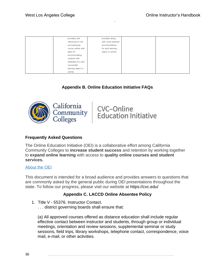| provided, and         | provided, along     |  |
|-----------------------|---------------------|--|
| referenced to the     | with some potential |  |
| accompanying          | accommodations      |  |
| course outline with   | for each learning   |  |
| plans for             | object or activity  |  |
| accommodating         |                     |  |
| students with         |                     |  |
| disabilities for each |                     |  |
| inaccessible          |                     |  |
| learning object or    |                     |  |
| activity              |                     |  |

# **Appendix B. Online Education Initiative FAQs**

<span id="page-35-0"></span>

CVC-Online<br>Education Initiative

## **Frequently Asked Questions**

The Online Education Initiative (OEI) is a collaborative effort among California Community Colleges to **increase student success** and retention by working together to **expand online learning** with access to **quality online courses and student services.**

#### [About the OEI](https://cvc.edu/about-the-oei/)

This document is intended for a broad audience and provides answers to questions that are commonly asked by the general public during OEI presentations throughout the state. To follow our progress, please visit our website at https://cvc.edu/

# **Appendix C. LACCD Online Absentee Policy**

- <span id="page-35-1"></span>1. Title V - 55376. Instructor Contact.
	- . . . district governing boards shall ensure that:

(a) All approved courses offered as distance education shall include regular effective contact between instructor and students, through group or individual meetings, orientation and review sessions, supplemental seminar or study sessions, field trips, library workshops, telephone contact, correspondence, voice mail, e-mail, or other activities.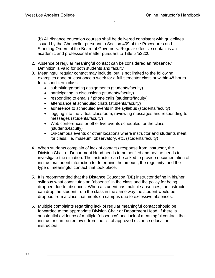(b) All distance education courses shall be delivered consistent with guidelines issued by the Chancellor pursuant to Section 409 of the Procedures and Standing Orders of the Board of Governors. Regular effective contact is an academic and professional matter pursuant to Title 5 '53200.

- 2. Absence of regular meaningful contact can be considered an "absence." Definition is valid for both students and faculty.
- 3. Meaningful regular contact may include, but is not limited to the following examples done at least once a week for a full semester class or within 48 hours for a short-term class:
	- submitting/grading assignments (students/faculty)
	- participating in discussions (students/faculty)
	- responding to emails / phone calls (students/faculty)
	- attendance at scheduled chats (students/faculty)
	- adherence to scheduled events in the syllabus (students/faculty)
	- logging into the virtual classroom, reviewing messages and responding to messages (students/faculty)
	- Web conferences or other live events scheduled for the class (students/faculty)
	- On-campus events or other locations where instructor and students meet for class; i.e. museum, observatory, etc. (students/faculty)
- 4. When students complain of lack of contact / response from instructor, the Division Chair or Department Head needs to be notified and he/she needs to investigate the situation. The instructor can be asked to provide documentation of instructor/student interaction to determine the amount, the regularity, and the type of meaningful contact that took place.
- 5. It is recommended that the Distance Education (DE) instructor define in his/her syllabus what constitutes an "absence" in the class and the policy for being dropped due to absences. When a student has multiple absences, the instructor can drop the student from the class in the same way the student would be dropped from a class that meets on campus due to excessive absences.
- 6. Multiple complaints regarding lack of regular meaningful contact should be forwarded to the appropriate Division Chair or Department Head. If there is substantial evidence of multiple "absences" and lack of meaningful contact, the instructor can be removed from the list of approved distance education instructors.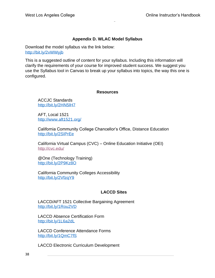# **Appendix D. WLAC Model Syllabus**

<span id="page-37-0"></span>Download the model syllabus via the link below: <http://bit.ly/2vWWyjb>

This is a suggested outline of content for your syllabus. Including this information will clarify the requirements of your course for improved student success. We suggest you use the Syllabus tool in Canvas to break up your syllabus into topics, the way this one is configured.

#### **Resources**

<span id="page-37-1"></span>ACCJC Standards <http://bit.ly/2HN5lH7>

AFT, Local 1521 <http://www.aft1521.org/>

California Community College Chancellor's Office, Distance Education <http://bit.ly/2SIPrEe>

California Virtual Campus (CVC) – Online Education Initiative (OEI) <http://cvc.edu/>

@One (Technology Training) <http://bit.ly/2P9Kz8O>

California Community Colleges Accessibility <http://bit.ly/2VfzqY9>

# **LACCD Sites**

LACCD/AFT 1521 Collective Bargaining Agreement <http://bit.ly/1Rou2VD>

LACCD Absence Certification Form <http://bit.ly/1L6a2dL>

LACCD Conference Attendance Forms <http://bit.ly/1QmC7fS>

LACCD Electronic Curriculum Development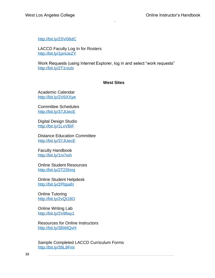<http://bit.ly/2SV06dC>

LACCD Faculty Log In for Rosters <http://bit.ly/1pnUeZY>

Work Requests (using Internet Explorer, log in and select "work requests" <http://bit.ly/2T1rozb>

#### **West Sites**

Academic Calendar <http://bit.ly/2V6XXye>

Committee Schedules <http://bit.ly/37JUecE>

Digital Design Studio <http://bit.ly/1LxVBiF>

Distance Education Committee <http://bit.ly/37JUecE>

Faculty Handbook <http://bit.ly/1ni7eih>

Online Student Resources <http://bit.ly/2T2Shmj>

Online Student Helpdesk <http://bit.ly/2Pbpafn>

Online Tutoring <http://bit.ly/2vQI18O>

Online Writing Lab <http://bit.ly/2V8fwy1>

Resources for Online Instructors <http://bit.ly/38WIQvH>

Sample Completed LACCD Curriculum Forms <http://bit.ly/39L9Fmi>